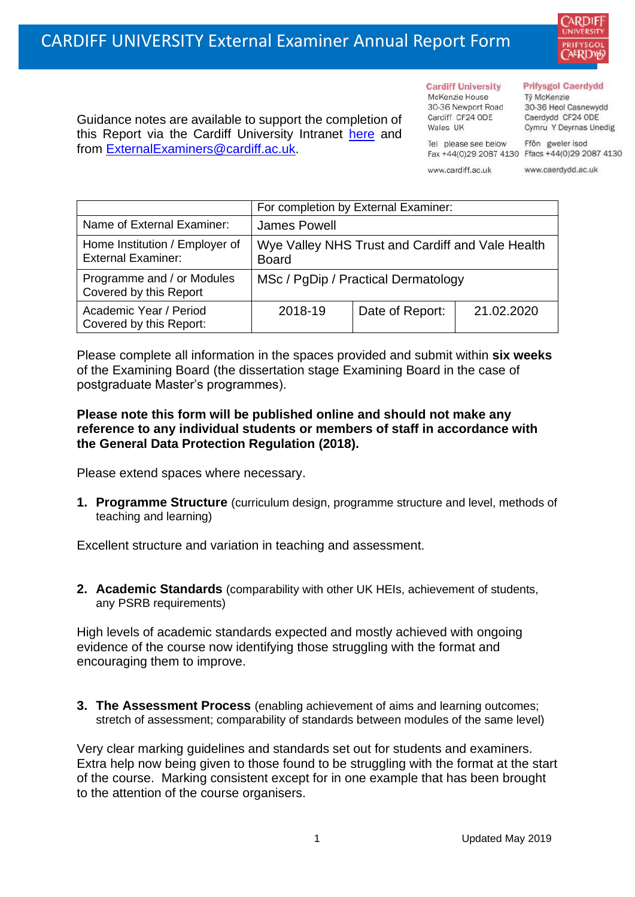

Guidance notes are available to support the completion of this Report via the Cardiff University Intranet [here](https://intranet.cardiff.ac.uk/staff/teaching-and-supporting-students/exams-and-assessment/exam-boards-and-external-examiners/for-current-external-examiners/external-examiners-reports) and from [ExternalExaminers@cardiff.ac.uk.](mailto:ExternalExaminers@cardiff.ac.uk)

**Cardiff University** McKenzie House 30-36 Newport Road Cardiff CF24 ODE

Tel please see below

www.cardiff.ac.uk

Wales UK

## **Prifysgol Caerdydd**

Từ McKenzie 30-36 Heol Casnewydd Caerdydd CF24 ODE Cymru Y Deyrnas Unedig

Ffôn gweler isod Fax +44(0)29 2087 4130 Ffacs +44(0)29 2087 4130

www.caerdydd.ac.uk

|                                                             | For completion by External Examiner:                             |                 |            |  |
|-------------------------------------------------------------|------------------------------------------------------------------|-----------------|------------|--|
| Name of External Examiner:                                  | James Powell                                                     |                 |            |  |
| Home Institution / Employer of<br><b>External Examiner:</b> | Wye Valley NHS Trust and Cardiff and Vale Health<br><b>Board</b> |                 |            |  |
| Programme and / or Modules<br>Covered by this Report        | MSc / PgDip / Practical Dermatology                              |                 |            |  |
| Academic Year / Period<br>Covered by this Report:           | 2018-19                                                          | Date of Report: | 21.02.2020 |  |

Please complete all information in the spaces provided and submit within **six weeks** of the Examining Board (the dissertation stage Examining Board in the case of postgraduate Master's programmes).

## **Please note this form will be published online and should not make any reference to any individual students or members of staff in accordance with the General Data Protection Regulation (2018).**

Please extend spaces where necessary.

**1. Programme Structure** (curriculum design, programme structure and level, methods of teaching and learning)

Excellent structure and variation in teaching and assessment.

**2. Academic Standards** (comparability with other UK HEIs, achievement of students, any PSRB requirements)

High levels of academic standards expected and mostly achieved with ongoing evidence of the course now identifying those struggling with the format and encouraging them to improve.

**3. The Assessment Process** (enabling achievement of aims and learning outcomes; stretch of assessment; comparability of standards between modules of the same level)

Very clear marking guidelines and standards set out for students and examiners. Extra help now being given to those found to be struggling with the format at the start of the course. Marking consistent except for in one example that has been brought to the attention of the course organisers.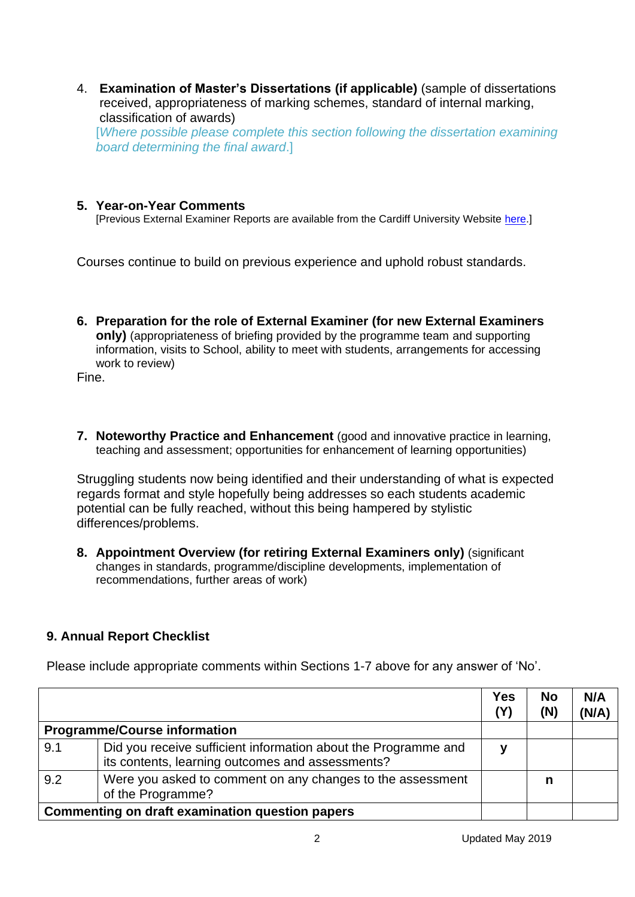4. **Examination of Master's Dissertations (if applicable)** (sample of dissertations received, appropriateness of marking schemes, standard of internal marking, classification of awards)

[*Where possible please complete this section following the dissertation examining board determining the final award*.]

## **5. Year-on-Year Comments**

[Previous External Examiner Reports are available from the Cardiff University Website [here.](https://www.cardiff.ac.uk/public-information/quality-and-standards/external-examiner-reports)]

Courses continue to build on previous experience and uphold robust standards.

**6. Preparation for the role of External Examiner (for new External Examiners only)** (appropriateness of briefing provided by the programme team and supporting information, visits to School, ability to meet with students, arrangements for accessing work to review)

Fine.

**7. Noteworthy Practice and Enhancement** (good and innovative practice in learning, teaching and assessment; opportunities for enhancement of learning opportunities)

Struggling students now being identified and their understanding of what is expected regards format and style hopefully being addresses so each students academic potential can be fully reached, without this being hampered by stylistic differences/problems.

**8. Appointment Overview (for retiring External Examiners only)** (significant changes in standards, programme/discipline developments, implementation of recommendations, further areas of work)

## **9. Annual Report Checklist**

Please include appropriate comments within Sections 1-7 above for any answer of 'No'.

|                                                 |                                                                                                                    | <b>Yes</b><br>(Y) | <b>No</b><br>(N) | N/A<br>(N/A) |
|-------------------------------------------------|--------------------------------------------------------------------------------------------------------------------|-------------------|------------------|--------------|
|                                                 | <b>Programme/Course information</b>                                                                                |                   |                  |              |
| 9.1                                             | Did you receive sufficient information about the Programme and<br>its contents, learning outcomes and assessments? | v                 |                  |              |
| 9.2                                             | Were you asked to comment on any changes to the assessment<br>of the Programme?                                    |                   | n                |              |
| Commenting on draft examination question papers |                                                                                                                    |                   |                  |              |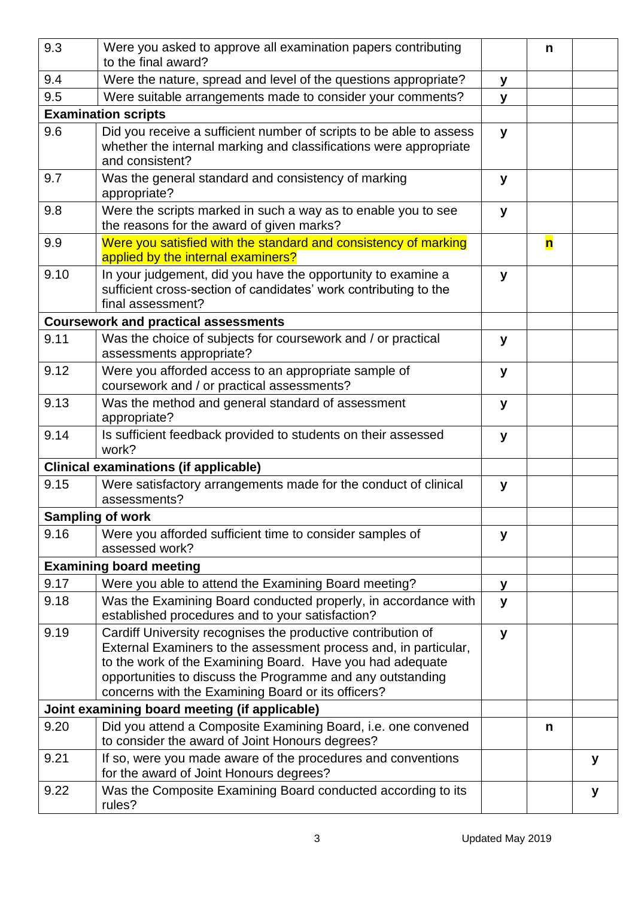| 9.3                                           | Were you asked to approve all examination papers contributing<br>to the final award?                                                                                                                                                                                                                              |   | n |   |
|-----------------------------------------------|-------------------------------------------------------------------------------------------------------------------------------------------------------------------------------------------------------------------------------------------------------------------------------------------------------------------|---|---|---|
| 9.4                                           | Were the nature, spread and level of the questions appropriate?                                                                                                                                                                                                                                                   |   |   |   |
| 9.5                                           | Were suitable arrangements made to consider your comments?                                                                                                                                                                                                                                                        |   |   |   |
| <b>Examination scripts</b>                    |                                                                                                                                                                                                                                                                                                                   |   |   |   |
| 9.6                                           | Did you receive a sufficient number of scripts to be able to assess<br>whether the internal marking and classifications were appropriate<br>and consistent?                                                                                                                                                       |   |   |   |
| 9.7                                           | Was the general standard and consistency of marking<br>appropriate?                                                                                                                                                                                                                                               |   |   |   |
| 9.8                                           | Were the scripts marked in such a way as to enable you to see<br>the reasons for the award of given marks?                                                                                                                                                                                                        |   |   |   |
| 9.9                                           | Were you satisfied with the standard and consistency of marking<br>applied by the internal examiners?                                                                                                                                                                                                             |   | n |   |
| 9.10                                          | In your judgement, did you have the opportunity to examine a<br>sufficient cross-section of candidates' work contributing to the<br>final assessment?                                                                                                                                                             | У |   |   |
|                                               | <b>Coursework and practical assessments</b>                                                                                                                                                                                                                                                                       |   |   |   |
| 9.11                                          | Was the choice of subjects for coursework and / or practical<br>assessments appropriate?                                                                                                                                                                                                                          | y |   |   |
| 9.12                                          | Were you afforded access to an appropriate sample of<br>coursework and / or practical assessments?                                                                                                                                                                                                                | У |   |   |
| 9.13                                          | Was the method and general standard of assessment<br>appropriate?                                                                                                                                                                                                                                                 | y |   |   |
| 9.14                                          | Is sufficient feedback provided to students on their assessed<br>work?                                                                                                                                                                                                                                            | y |   |   |
|                                               | <b>Clinical examinations (if applicable)</b>                                                                                                                                                                                                                                                                      |   |   |   |
| 9.15                                          | Were satisfactory arrangements made for the conduct of clinical<br>assessments?                                                                                                                                                                                                                                   | У |   |   |
| <b>Sampling of work</b>                       |                                                                                                                                                                                                                                                                                                                   |   |   |   |
| 9.16                                          | Were you afforded sufficient time to consider samples of<br>assessed work?                                                                                                                                                                                                                                        | y |   |   |
|                                               | <b>Examining board meeting</b>                                                                                                                                                                                                                                                                                    |   |   |   |
| 9.17                                          | Were you able to attend the Examining Board meeting?                                                                                                                                                                                                                                                              | У |   |   |
| 9.18                                          | Was the Examining Board conducted properly, in accordance with<br>established procedures and to your satisfaction?                                                                                                                                                                                                | y |   |   |
| 9.19                                          | Cardiff University recognises the productive contribution of<br>External Examiners to the assessment process and, in particular,<br>to the work of the Examining Board. Have you had adequate<br>opportunities to discuss the Programme and any outstanding<br>concerns with the Examining Board or its officers? | y |   |   |
| Joint examining board meeting (if applicable) |                                                                                                                                                                                                                                                                                                                   |   |   |   |
| 9.20                                          | Did you attend a Composite Examining Board, i.e. one convened<br>to consider the award of Joint Honours degrees?                                                                                                                                                                                                  |   | n |   |
| 9.21                                          | If so, were you made aware of the procedures and conventions<br>for the award of Joint Honours degrees?                                                                                                                                                                                                           |   |   | у |
| 9.22                                          | Was the Composite Examining Board conducted according to its<br>rules?                                                                                                                                                                                                                                            |   |   | у |